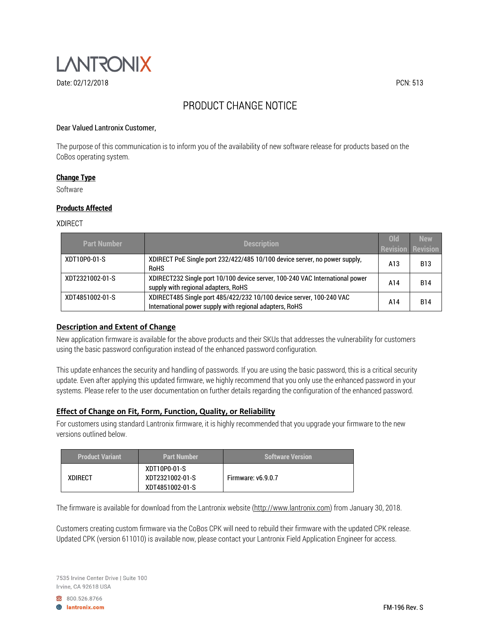

# PRODUCT CHANGE NOTICE

## Dear Valued Lantronix Customer,

The purpose of this communication is to inform you of the availability of new software release for products based on the CoBos operating system.

#### **Change Type**

Software

#### **Products Affected**

#### XDIRECT

| <b>Part Number</b> | <b>Description</b>                                                                                                              | <b>Old</b><br><b>Revision</b> | <b>New</b><br><b>Revision</b> |
|--------------------|---------------------------------------------------------------------------------------------------------------------------------|-------------------------------|-------------------------------|
| XDT10P0-01-S       | XDIRECT PoE Single port 232/422/485 10/100 device server, no power supply,<br><b>RoHS</b>                                       | A13                           | B13                           |
| XDT2321002-01-S    | XDIRECT232 Single port 10/100 device server, 100-240 VAC International power<br>supply with regional adapters, RoHS             | A14                           | <b>B14</b>                    |
| XDT4851002-01-S    | XDIRECT485 Single port 485/422/232 10/100 device server, 100-240 VAC<br>International power supply with regional adapters, RoHS | A14                           | <b>B14</b>                    |

## **Description and Extent of Change**

New application firmware is available for the above products and their SKUs that addresses the vulnerability for customers using the basic password configuration instead of the enhanced password configuration.

This update enhances the security and handling of passwords. If you are using the basic password, this is a critical security update. Even after applying this updated firmware, we highly recommend that you only use the enhanced password in your systems. Please refer to the user documentation on further details regarding the configuration of the enhanced password.

# **Effect of Change on Fit, Form, Function, Quality, or Reliability**

For customers using standard Lantronix firmware, it is highly recommended that you upgrade your firmware to the new versions outlined below.

| <b>Product Variant</b> | <b>Part Number</b>                                 | <b>Software Version</b>   |
|------------------------|----------------------------------------------------|---------------------------|
| <b>XDIRECT</b>         | XDT10P0-01-S<br>XDT2321002-01-S<br>XDT4851002-01-S | <b>Firmware: v6.9.0.7</b> |

The firmware is available for download from the Lantronix website (http://www.lantronix.com) from January 30, 2018.

Customers creating custom firmware via the CoBos CPK will need to rebuild their firmware with the updated CPK release. Updated CPK (version 611010) is available now, please contact your Lantronix Field Application Engineer for access.

7535 Irvine Center Drive | Suite 100 Irvine, CA 92618 USA

800.526.8766

**A** lantronix.com